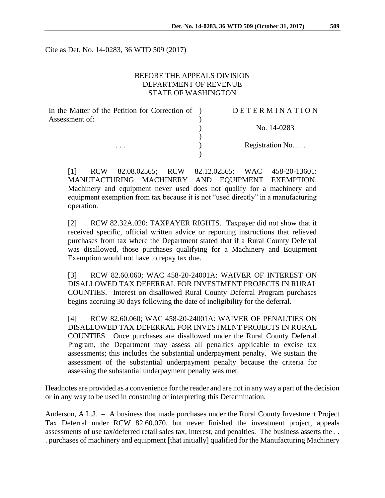Cite as Det. No. 14-0283, 36 WTD 509 (2017)

### BEFORE THE APPEALS DIVISION DEPARTMENT OF REVENUE STATE OF WASHINGTON

| In the Matter of the Petition for Correction of ) | DETERMINATION   |
|---------------------------------------------------|-----------------|
| Assessment of:<br>$\cdots$                        |                 |
|                                                   | No. 14-0283     |
|                                                   | Registration No |
|                                                   |                 |

[1] RCW 82.08.02565; RCW 82.12.02565; WAC 458-20-13601: MANUFACTURING MACHINERY AND EQUIPMENT EXEMPTION. Machinery and equipment never used does not qualify for a machinery and equipment exemption from tax because it is not "used directly" in a manufacturing operation.

[2] RCW 82.32A.020: TAXPAYER RIGHTS. Taxpayer did not show that it received specific, official written advice or reporting instructions that relieved purchases from tax where the Department stated that if a Rural County Deferral was disallowed, those purchases qualifying for a Machinery and Equipment Exemption would not have to repay tax due.

[3] RCW 82.60.060; WAC 458-20-24001A: WAIVER OF INTEREST ON DISALLOWED TAX DEFERRAL FOR INVESTMENT PROJECTS IN RURAL COUNTIES. Interest on disallowed Rural County Deferral Program purchases begins accruing 30 days following the date of ineligibility for the deferral.

[4] RCW 82.60.060; WAC 458-20-24001A: WAIVER OF PENALTIES ON DISALLOWED TAX DEFERRAL FOR INVESTMENT PROJECTS IN RURAL COUNTIES. Once purchases are disallowed under the Rural County Deferral Program, the Department may assess all penalties applicable to excise tax assessments; this includes the substantial underpayment penalty. We sustain the assessment of the substantial underpayment penalty because the criteria for assessing the substantial underpayment penalty was met.

Headnotes are provided as a convenience for the reader and are not in any way a part of the decision or in any way to be used in construing or interpreting this Determination.

Anderson, A.L.J. – A business that made purchases under the Rural County Investment Project Tax Deferral under RCW 82.60.070, but never finished the investment project, appeals assessments of use tax/deferred retail sales tax, interest, and penalties. The business asserts the . . . purchases of machinery and equipment [that initially] qualified for the Manufacturing Machinery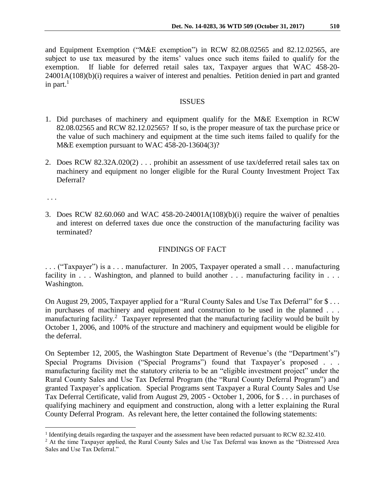and Equipment Exemption ("M&E exemption") in RCW 82.08.02565 and 82.12.02565, are subject to use tax measured by the items' values once such items failed to qualify for the exemption. If liable for deferred retail sales tax, Taxpayer argues that WAC 458-20- 24001A(108)(b)(i) requires a waiver of interest and penalties. Petition denied in part and granted in part.<sup>1</sup>

#### **ISSUES**

- 1. Did purchases of machinery and equipment qualify for the M&E Exemption in RCW 82.08.02565 and RCW 82.12.02565? If so, is the proper measure of tax the purchase price or the value of such machinery and equipment at the time such items failed to qualify for the M&E exemption pursuant to WAC 458-20-13604(3)?
- 2. Does RCW 82.32A.020(2) . . . prohibit an assessment of use tax/deferred retail sales tax on machinery and equipment no longer eligible for the Rural County Investment Project Tax Deferral?

. . .

 $\overline{a}$ 

3. Does RCW 82.60.060 and WAC 458-20-24001A(108)(b)(i) require the waiver of penalties and interest on deferred taxes due once the construction of the manufacturing facility was terminated?

### FINDINGS OF FACT

. . . ("Taxpayer") is a . . . manufacturer. In 2005, Taxpayer operated a small . . . manufacturing facility in . . . Washington, and planned to build another . . . manufacturing facility in . . . Washington.

On August 29, 2005, Taxpayer applied for a "Rural County Sales and Use Tax Deferral" for \$... in purchases of machinery and equipment and construction to be used in the planned . . . manufacturing facility.<sup>2</sup> Taxpayer represented that the manufacturing facility would be built by October 1, 2006, and 100% of the structure and machinery and equipment would be eligible for the deferral.

On September 12, 2005, the Washington State Department of Revenue's (the "Department's") Special Programs Division ("Special Programs") found that Taxpayer's proposed . . . manufacturing facility met the statutory criteria to be an "eligible investment project" under the Rural County Sales and Use Tax Deferral Program (the "Rural County Deferral Program") and granted Taxpayer's application. Special Programs sent Taxpayer a Rural County Sales and Use Tax Deferral Certificate, valid from August 29, 2005 - October 1, 2006, for \$ . . . in purchases of qualifying machinery and equipment and construction, along with a letter explaining the Rural County Deferral Program. As relevant here, the letter contained the following statements:

<sup>&</sup>lt;sup>1</sup> Identifying details regarding the taxpayer and the assessment have been redacted pursuant to RCW 82.32.410.

<sup>&</sup>lt;sup>2</sup> At the time Taxpayer applied, the Rural County Sales and Use Tax Deferral was known as the "Distressed Area Sales and Use Tax Deferral."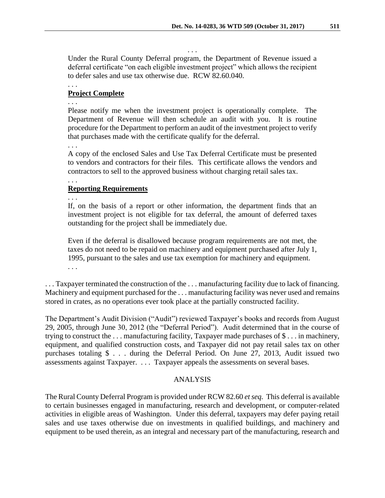Under the Rural County Deferral program, the Department of Revenue issued a deferral certificate "on each eligible investment project" which allows the recipient to defer sales and use tax otherwise due. RCW 82.60.040.

. . .

. . .

### **Project Complete**

. . .

Please notify me when the investment project is operationally complete. The Department of Revenue will then schedule an audit with you. It is routine procedure for the Department to perform an audit of the investment project to verify that purchases made with the certificate qualify for the deferral.

. . .

A copy of the enclosed Sales and Use Tax Deferral Certificate must be presented to vendors and contractors for their files. This certificate allows the vendors and contractors to sell to the approved business without charging retail sales tax.

### **Reporting Requirements**

. . .

. . .

If, on the basis of a report or other information, the department finds that an investment project is not eligible for tax deferral, the amount of deferred taxes outstanding for the project shall be immediately due.

Even if the deferral is disallowed because program requirements are not met, the taxes do not need to be repaid on machinery and equipment purchased after July 1, 1995, pursuant to the sales and use tax exemption for machinery and equipment. . . .

. . . Taxpayer terminated the construction of the . . . manufacturing facility due to lack of financing. Machinery and equipment purchased for the . . . manufacturing facility was never used and remains stored in crates, as no operations ever took place at the partially constructed facility.

The Department's Audit Division ("Audit") reviewed Taxpayer's books and records from August 29, 2005, through June 30, 2012 (the "Deferral Period"). Audit determined that in the course of trying to construct the . . . manufacturing facility, Taxpayer made purchases of \$ . . . in machinery, equipment, and qualified construction costs, and Taxpayer did not pay retail sales tax on other purchases totaling \$ . . . during the Deferral Period. On June 27, 2013, Audit issued two assessments against Taxpayer. . . . Taxpayer appeals the assessments on several bases.

### ANALYSIS

The Rural County Deferral Program is provided under RCW 82.60 *et seq.* This deferral is available to certain businesses engaged in manufacturing, research and development, or computer-related activities in eligible areas of Washington. Under this deferral, taxpayers may defer paying retail sales and use taxes otherwise due on investments in qualified buildings, and machinery and equipment to be used therein, as an integral and necessary part of the manufacturing, research and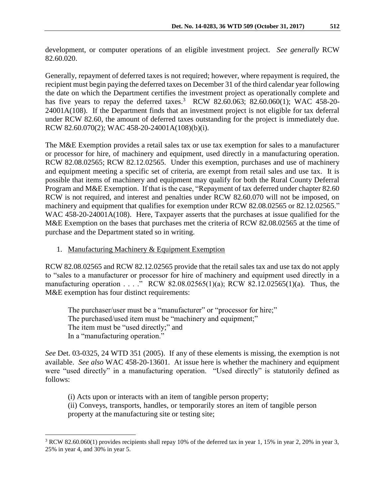development, or computer operations of an eligible investment project. *See generally* RCW 82.60.020.

Generally, repayment of deferred taxes is not required; however, where repayment is required, the recipient must begin paying the deferred taxes on December 31 of the third calendar year following the date on which the Department certifies the investment project as operationally complete and has five years to repay the deferred taxes.<sup>3</sup> RCW 82.60.063; 82.60.060(1); WAC 458-20-24001A(108). If the Department finds that an investment project is not eligible for tax deferral under RCW 82.60, the amount of deferred taxes outstanding for the project is immediately due. RCW 82.60.070(2); WAC 458-20-24001A(108)(b)(i).

The M&E Exemption provides a retail sales tax or use tax exemption for sales to a manufacturer or processor for hire, of machinery and equipment, used directly in a manufacturing operation. RCW 82.08.02565; RCW 82.12.02565. Under this exemption, purchases and use of machinery and equipment meeting a specific set of criteria, are exempt from retail sales and use tax. It is possible that items of machinery and equipment may qualify for both the Rural County Deferral Program and M&E Exemption. If that is the case, "Repayment of tax deferred under chapter 82.60 RCW is not required, and interest and penalties under RCW 82.60.070 will not be imposed, on machinery and equipment that qualifies for exemption under RCW 82.08.02565 or 82.12.02565." WAC 458-20-24001A(108). Here, Taxpayer asserts that the purchases at issue qualified for the M&E Exemption on the bases that purchases met the criteria of RCW 82.08.02565 at the time of purchase and the Department stated so in writing.

1. Manufacturing Machinery & Equipment Exemption

RCW 82.08.02565 and RCW 82.12.02565 provide that the retail sales tax and use tax do not apply to "sales to a manufacturer or processor for hire of machinery and equipment used directly in a manufacturing operation . . . ." RCW 82.08.02565(1)(a); RCW 82.12.02565(1)(a). Thus, the M&E exemption has four distinct requirements:

The purchaser/user must be a "manufacturer" or "processor for hire;" The purchased/used item must be "machinery and equipment;" The item must be "used directly;" and In a "manufacturing operation."

*See* Det. 03-0325, 24 WTD 351 (2005). If any of these elements is missing, the exemption is not available. *See also* WAC 458-20-13601. At issue here is whether the machinery and equipment were "used directly" in a manufacturing operation. "Used directly" is statutorily defined as follows:

(i) Acts upon or interacts with an item of tangible person property;

 $\overline{a}$ 

(ii) Conveys, transports, handles, or temporarily stores an item of tangible person property at the manufacturing site or testing site;

<sup>3</sup> RCW 82.60.060(1) provides recipients shall repay 10% of the deferred tax in year 1, 15% in year 2, 20% in year 3, 25% in year 4, and 30% in year 5.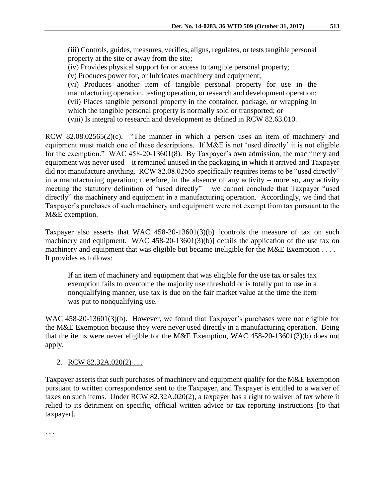(iv) Provides physical support for or access to tangible personal property;

(v) Produces power for, or lubricates machinery and equipment;

(vi) Produces another item of tangible personal property for use in the manufacturing operation, testing operation, or research and development operation; (vii) Places tangible personal property in the container, package, or wrapping in which the tangible personal property is normally sold or transported; or

(viii) Is integral to research and development as defined in RCW 82.63.010.

RCW 82.08.02565(2)(c). "The manner in which a person uses an item of machinery and equipment must match one of these descriptions. If M&E is not 'used directly' it is not eligible for the exemption." WAC 458-20-13601(8). By Taxpayer's own admission, the machinery and equipment was never used – it remained unused in the packaging in which it arrived and Taxpayer did not manufacture anything. RCW 82.08.02565 specifically requires items to be "used directly" in a manufacturing operation; therefore, in the absence of any activity – more so, any activity meeting the statutory definition of "used directly" – we cannot conclude that Taxpayer "used directly" the machinery and equipment in a manufacturing operation. Accordingly, we find that Taxpayer's purchases of such machinery and equipment were not exempt from tax pursuant to the M&E exemption.

Taxpayer also asserts that WAC 458-20-13601(3)(b) [controls the measure of tax on such machinery and equipment. WAC 458-20-13601(3)(b)] details the application of the use tax on machinery and equipment that was eligible but became ineligible for the M&E Exemption . . . .– It provides as follows:

If an item of machinery and equipment that was eligible for the use tax or sales tax exemption fails to overcome the majority use threshold or is totally put to use in a nonqualifying manner, use tax is due on the fair market value at the time the item was put to nonqualifying use.

WAC 458-20-13601(3)(b). However, we found that Taxpayer's purchases were not eligible for the M&E Exemption because they were never used directly in a manufacturing operation. Being that the items were never eligible for the M&E Exemption, WAC 458-20-13601(3)(b) does not apply.

# 2. RCW 82.32A.020(2) ...

Taxpayer asserts that such purchases of machinery and equipment qualify for the M&E Exemption pursuant to written correspondence sent to the Taxpayer, and Taxpayer is entitled to a waiver of taxes on such items. Under RCW 82.32A.020(2), a taxpayer has a right to waiver of tax where it relied to its detriment on specific, official written advice or tax reporting instructions [to that taxpayer].

. . .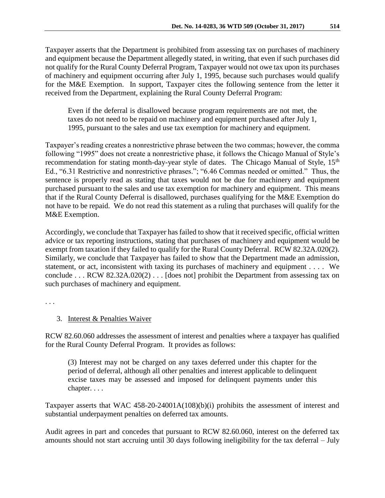Taxpayer asserts that the Department is prohibited from assessing tax on purchases of machinery and equipment because the Department allegedly stated, in writing, that even if such purchases did not qualify for the Rural County Deferral Program, Taxpayer would not owe tax upon its purchases of machinery and equipment occurring after July 1, 1995, because such purchases would qualify for the M&E Exemption. In support, Taxpayer cites the following sentence from the letter it received from the Department, explaining the Rural County Deferral Program:

Even if the deferral is disallowed because program requirements are not met, the taxes do not need to be repaid on machinery and equipment purchased after July 1, 1995, pursuant to the sales and use tax exemption for machinery and equipment.

Taxpayer's reading creates a nonrestrictive phrase between the two commas; however, the comma following "1995" does not create a nonrestrictive phase, it follows the Chicago Manual of Style's recommendation for stating month-day-year style of dates. The Chicago Manual of Style, 15<sup>th</sup> Ed., "6.31 Restrictive and nonrestrictive phrases."; "6.46 Commas needed or omitted." Thus, the sentence is properly read as stating that taxes would not be due for machinery and equipment purchased pursuant to the sales and use tax exemption for machinery and equipment. This means that if the Rural County Deferral is disallowed, purchases qualifying for the M&E Exemption do not have to be repaid. We do not read this statement as a ruling that purchases will qualify for the M&E Exemption.

Accordingly, we conclude that Taxpayer has failed to show that it received specific, official written advice or tax reporting instructions, stating that purchases of machinery and equipment would be exempt from taxation if they failed to qualify for the Rural County Deferral. RCW 82.32A.020(2). Similarly, we conclude that Taxpayer has failed to show that the Department made an admission, statement, or act, inconsistent with taxing its purchases of machinery and equipment . . . . We conclude . . . RCW 82.32A.020(2) . . . [does not] prohibit the Department from assessing tax on such purchases of machinery and equipment.

. . .

# 3. Interest & Penalties Waiver

RCW 82.60.060 addresses the assessment of interest and penalties where a taxpayer has qualified for the Rural County Deferral Program. It provides as follows:

(3) Interest may not be charged on any taxes deferred under this chapter for the period of deferral, although all other penalties and interest applicable to delinquent excise taxes may be assessed and imposed for delinquent payments under this chapter. . . .

Taxpayer asserts that WAC 458-20-24001A(108)(b)(i) prohibits the assessment of interest and substantial underpayment penalties on deferred tax amounts.

Audit agrees in part and concedes that pursuant to RCW 82.60.060, interest on the deferred tax amounts should not start accruing until 30 days following ineligibility for the tax deferral – July